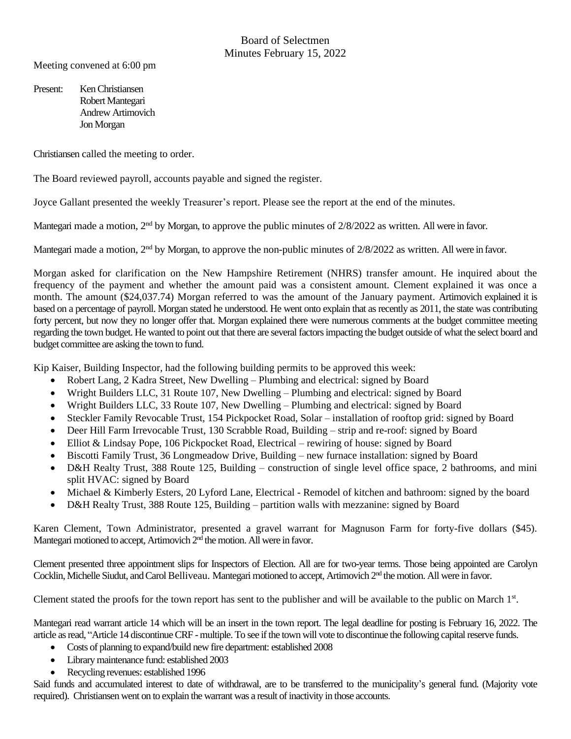Meeting convened at 6:00 pm

Present: Ken Christiansen Robert Mantegari Andrew Artimovich Jon Morgan

Christiansen called the meeting to order.

The Board reviewed payroll, accounts payable and signed the register.

Joyce Gallant presented the weekly Treasurer's report. Please see the report at the end of the minutes.

Mantegari made a motion, 2<sup>nd</sup> by Morgan, to approve the public minutes of 2/8/2022 as written. All were in favor.

Mantegari made a motion, 2<sup>nd</sup> by Morgan, to approve the non-public minutes of 2/8/2022 as written. All were in favor.

Morgan asked for clarification on the New Hampshire Retirement (NHRS) transfer amount. He inquired about the frequency of the payment and whether the amount paid was a consistent amount. Clement explained it was once a month. The amount (\$24,037.74) Morgan referred to was the amount of the January payment. Artimovich explained it is based on a percentage of payroll. Morgan stated he understood. He went onto explain that as recently as 2011, the state was contributing forty percent, but now they no longer offer that. Morgan explained there were numerous comments at the budget committee meeting regarding the town budget. He wanted to point out that there are several factors impacting the budget outside of what the select board and budget committee are asking the town to fund.

Kip Kaiser, Building Inspector, had the following building permits to be approved this week:

- Robert Lang, 2 Kadra Street, New Dwelling Plumbing and electrical: signed by Board
- Wright Builders LLC, 31 Route 107, New Dwelling Plumbing and electrical: signed by Board
- Wright Builders LLC, 33 Route 107, New Dwelling Plumbing and electrical: signed by Board
- Steckler Family Revocable Trust, 154 Pickpocket Road, Solar installation of rooftop grid: signed by Board
- Deer Hill Farm Irrevocable Trust, 130 Scrabble Road, Building strip and re-roof: signed by Board
- Elliot & Lindsay Pope, 106 Pickpocket Road, Electrical rewiring of house: signed by Board
- Biscotti Family Trust, 36 Longmeadow Drive, Building new furnace installation: signed by Board
- D&H Realty Trust, 388 Route 125, Building construction of single level office space, 2 bathrooms, and mini split HVAC: signed by Board
- Michael & Kimberly Esters, 20 Lyford Lane, Electrical Remodel of kitchen and bathroom: signed by the board
- D&H Realty Trust, 388 Route 125, Building partition walls with mezzanine: signed by Board

Karen Clement, Town Administrator, presented a gravel warrant for Magnuson Farm for forty-five dollars (\$45). Mantegari motioned to accept, Artimovich 2<sup>nd</sup> the motion. All were in favor.

Clement presented three appointment slips for Inspectors of Election. All are for two-year terms. Those being appointed are Carolyn Cocklin, Michelle Siudut, and Carol Belliveau. Mantegari motioned to accept, Artimovich 2<sup>nd</sup> the motion. All were in favor.

Clement stated the proofs for the town report has sent to the publisher and will be available to the public on March  $1<sup>st</sup>$ .

Mantegari read warrant article 14 which will be an insert in the town report. The legal deadline for posting is February 16, 2022. The article as read, "Article 14 discontinue CRF - multiple. To see if the town will vote to discontinue the following capital reserve funds.

- Costs of planning to expand/build new fire department: established 2008
- Library maintenance fund: established 2003
- Recycling revenues: established 1996

Said funds and accumulated interest to date of withdrawal, are to be transferred to the municipality's general fund. (Majority vote required). Christiansen went on to explain the warrant was a result of inactivity in those accounts.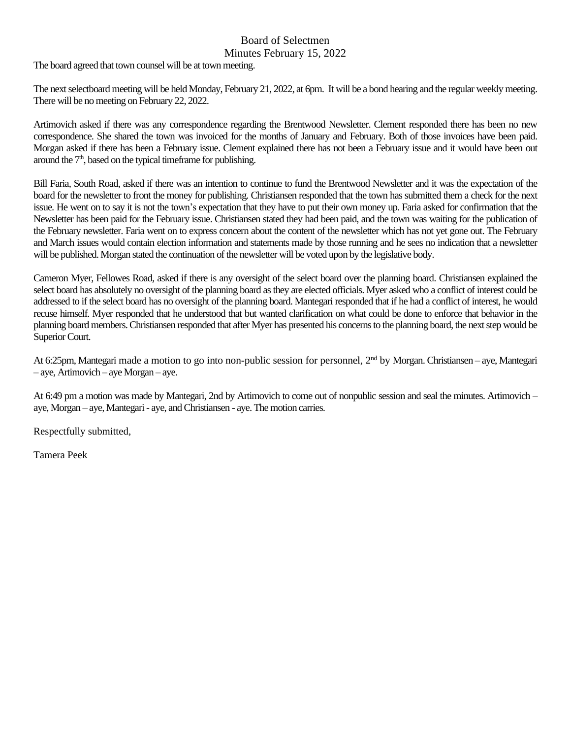## Board of Selectmen

## Minutes February 15, 2022

The board agreed that town counsel will be at town meeting.

The next selectboard meeting will be held Monday, February 21, 2022, at 6pm. It will be a bond hearing and the regular weekly meeting. There will be no meeting on February 22, 2022.

Artimovich asked if there was any correspondence regarding the Brentwood Newsletter. Clement responded there has been no new correspondence. She shared the town was invoiced for the months of January and February. Both of those invoices have been paid. Morgan asked if there has been a February issue. Clement explained there has not been a February issue and it would have been out around the  $7<sup>th</sup>$ , based on the typical timeframe for publishing.

Bill Faria, South Road, asked if there was an intention to continue to fund the Brentwood Newsletter and it was the expectation of the board for the newsletter to front the money for publishing. Christiansen responded that the town has submitted them a check for the next issue. He went on to say it is not the town's expectation that they have to put their own money up. Faria asked for confirmation that the Newsletter has been paid for the February issue. Christiansen stated they had been paid, and the town was waiting for the publication of the February newsletter. Faria went on to express concern about the content of the newsletter which has not yet gone out. The February and March issues would contain election information and statements made by those running and he sees no indication that a newsletter will be published. Morgan stated the continuation of the newsletter will be voted upon by the legislative body.

Cameron Myer, Fellowes Road, asked if there is any oversight of the select board over the planning board. Christiansen explained the select board has absolutely no oversight of the planning board as they are elected officials. Myer asked who a conflict of interest could be addressed to if the select board has no oversight of the planning board. Mantegari responded that if he had a conflict of interest, he would recuse himself. Myer responded that he understood that but wanted clarification on what could be done to enforce that behavior in the planning board members.Christiansen responded that after Myer has presented his concerns to the planning board, the next step would be Superior Court.

At 6:25pm, Mantegari made a motion to go into non-public session for personnel, 2<sup>nd</sup> by Morgan. Christiansen – aye, Mantegari – aye, Artimovich – aye Morgan – aye.

At 6:49 pm a motion was made by Mantegari, 2nd by Artimovich to come out of nonpublic session and seal the minutes. Artimovich – aye, Morgan – aye, Mantegari - aye, and Christiansen - aye. The motion carries.

Respectfully submitted,

Tamera Peek